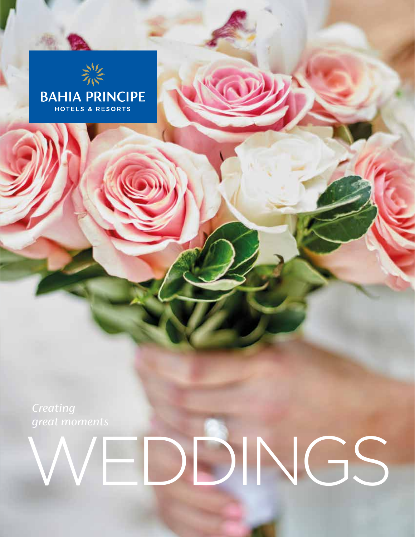

*Creating great moments*

# WEDDINGS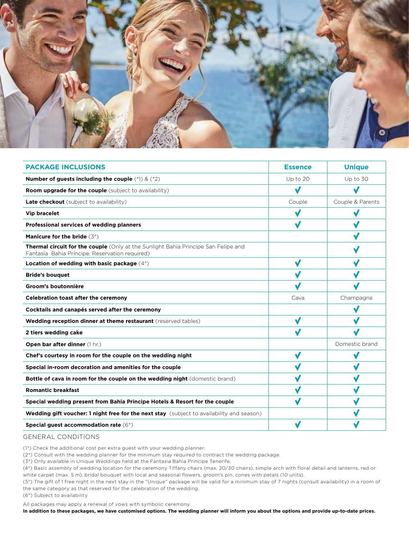

| <b>PACKAGE INCLUSIONS</b>                                                                                                            | <b>Essence</b> | <b>Unique</b>    |
|--------------------------------------------------------------------------------------------------------------------------------------|----------------|------------------|
| Number of guests including the couple $(*1) & (*2)$                                                                                  | Up to 20       | Up to 30         |
| <b>Room upgrade for the couple</b> (subject to availability)                                                                         | √              |                  |
| <b>Late checkout</b> (subject to availability)                                                                                       | Couple         | Couple & Parents |
| <b>Vip bracelet</b>                                                                                                                  | √              | $\checkmark$     |
| Professional services of wedding planners                                                                                            | √              |                  |
| <b>Manicure for the bride</b> $(3^*)$                                                                                                |                |                  |
| Thermal circuit for the couple (Only at the Sunlight Bahia Principe San Felipe and<br>Fantasía Bahía Príncipe. Reservation required) |                |                  |
| Location of wedding with basic package (4*)                                                                                          | V              |                  |
| <b>Bride's bouquet</b>                                                                                                               |                |                  |
| Groom's boutonnière                                                                                                                  |                |                  |
| <b>Celebration toast after the ceremony</b>                                                                                          | Cava           | Champagne        |
| Cocktails and canapés served after the ceremony                                                                                      |                | V                |
| Wedding reception dinner at theme restaurant (reserved tables)                                                                       | $\checkmark$   | V                |
| 2 tiers wedding cake                                                                                                                 |                |                  |
| Open bar after dinner (1 hr.)                                                                                                        |                | Domestic brand   |
| Chef's courtesy in room for the couple on the wedding night                                                                          | √              | $\checkmark$     |
| Special in-room decoration and amenities for the couple                                                                              |                |                  |
| Bottle of cava in room for the couple on the wedding night (domestic brand)                                                          |                |                  |
| <b>Romantic breakfast</b>                                                                                                            |                |                  |
| Special wedding present from Bahia Principe Hotels & Resort for the couple                                                           | √              | √                |
| Wedding gift voucher: 1 night free for the next stay (subject to availability and season)                                            |                |                  |
| Special guest accommodation rate $(6^*)$                                                                                             |                |                  |

#### GENERAL CONDITIONS

(1\*) Check the additional cost per extra guest with your wedding planner.

(2\*) Consult with the wedding planner for the minimum stay required to contract the wedding package.

(3\*) Only available in Unique Weddings held at the Fantasia Bahia Principe Tenerife.

(4\*) Basic assembly of wedding location for the ceremony Tiffany chairs (max. 20/30 chairs), simple arch with floral detail and lanterns, red or white carpet (max. 5 m), bridal bouquet with local and seasonal flowers, groom's pin, cones with petals (10 units).

(5\*) The gift of 1 free night in the next stay in the "Unique" package will be valid for a minimum stay of 7 nights (consult availability) in a room of the same category as that reserved for the celebration of the wedding.

(6\*) Subject to availability

All packages may apply a renewal of vows with symbolic ceremony.

**In addition to these packages, we have customised options. The wedding planner will inform you about the options and provide up-to-date prices.**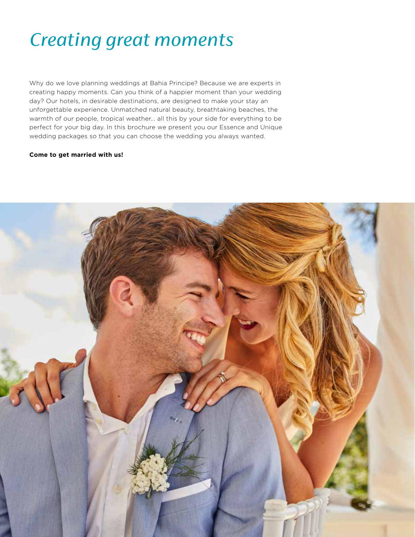### *Creating great moments*

Why do we love planning weddings at Bahia Principe? Because we are experts in creating happy moments. Can you think of a happier moment than your wedding day? Our hotels, in desirable destinations, are designed to make your stay an unforgettable experience. Unmatched natural beauty, breathtaking beaches, the warmth of our people, tropical weather... all this by your side for everything to be perfect for your big day. In this brochure we present you our Essence and Unique wedding packages so that you can choose the wedding you always wanted.

#### **Come to get married with us!**

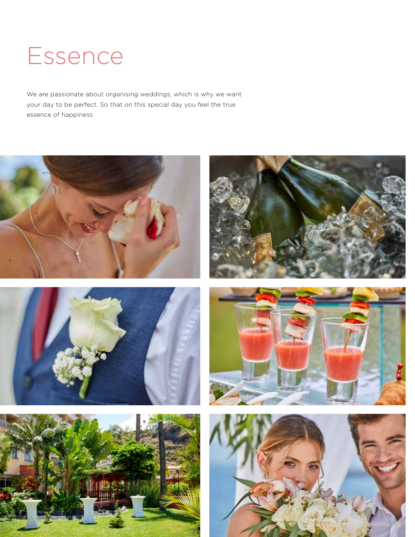# Essence

We are passionate about organising weddings, which is why we want your day to be perfect. So that on this special day you feel the true essence of happiness











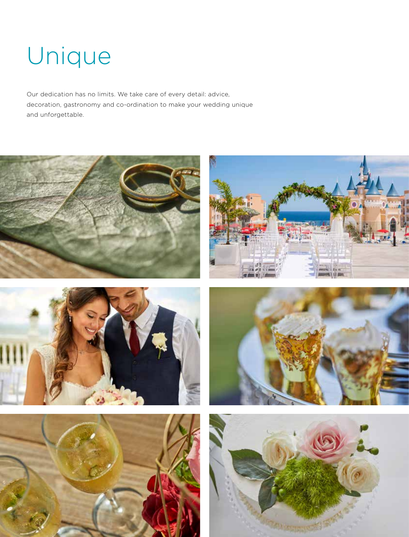# Unique

Our dedication has no limits. We take care of every detail: advice, decoration, gastronomy and co-ordination to make your wedding unique and unforgettable.